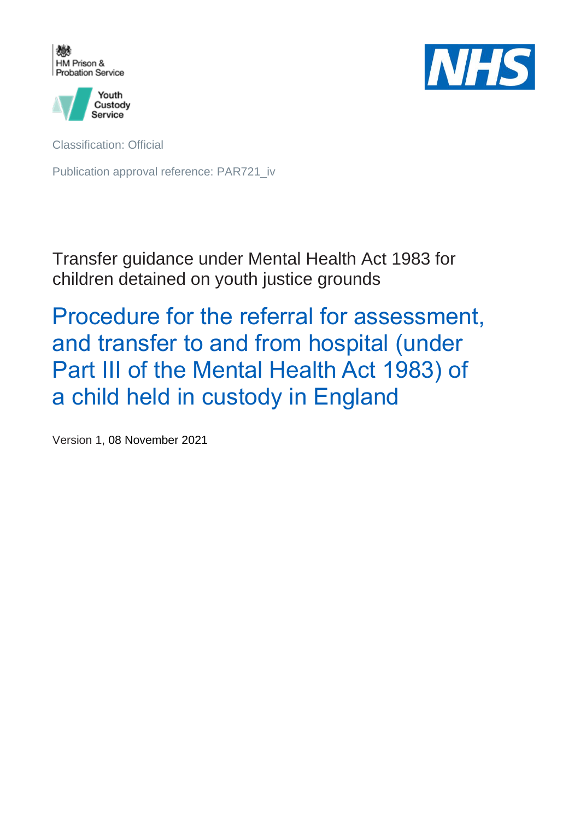



Classification: Official

Publication approval reference: PAR721\_iv

Transfer guidance under Mental Health Act 1983 for children detained on youth justice grounds

Procedure for the referral for assessment, and transfer to and from hospital (under Part III of the Mental Health Act 1983) of a child held in custody in England

Version 1, 08 November 2021

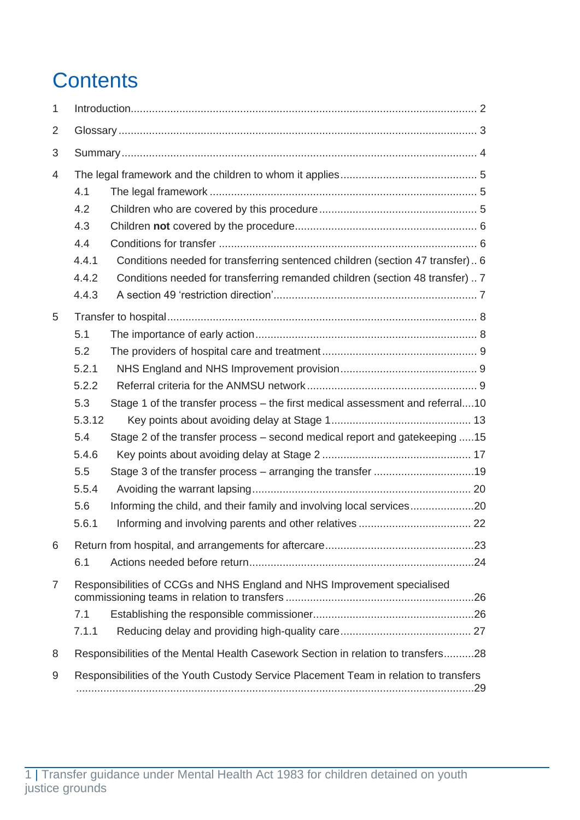# **Contents**

| 1              |                                                                                       |                                                                               |  |
|----------------|---------------------------------------------------------------------------------------|-------------------------------------------------------------------------------|--|
| 2              |                                                                                       |                                                                               |  |
| 3              |                                                                                       |                                                                               |  |
| 4              |                                                                                       |                                                                               |  |
|                | 4.1                                                                                   |                                                                               |  |
|                | 4.2                                                                                   |                                                                               |  |
|                | 4.3                                                                                   |                                                                               |  |
|                | 4.4                                                                                   |                                                                               |  |
|                | 4.4.1                                                                                 | Conditions needed for transferring sentenced children (section 47 transfer) 6 |  |
|                | 4.4.2                                                                                 | Conditions needed for transferring remanded children (section 48 transfer)  7 |  |
|                | 4.4.3                                                                                 |                                                                               |  |
| 5              |                                                                                       |                                                                               |  |
|                | 5.1                                                                                   |                                                                               |  |
|                | 5.2                                                                                   |                                                                               |  |
|                | 5.2.1                                                                                 |                                                                               |  |
|                | 5.2.2                                                                                 |                                                                               |  |
|                | 5.3                                                                                   | Stage 1 of the transfer process – the first medical assessment and referral10 |  |
|                | 5.3.12                                                                                |                                                                               |  |
|                | 5.4                                                                                   | Stage 2 of the transfer process – second medical report and gatekeeping 15    |  |
|                | 5.4.6                                                                                 |                                                                               |  |
|                | 5.5                                                                                   |                                                                               |  |
|                | 5.5.4                                                                                 |                                                                               |  |
|                | 5.6                                                                                   | Informing the child, and their family and involving local services20          |  |
|                | 5.6.1                                                                                 |                                                                               |  |
| 6              |                                                                                       |                                                                               |  |
|                | 6.1                                                                                   |                                                                               |  |
| $\overline{7}$ | Responsibilities of CCGs and NHS England and NHS Improvement specialised              |                                                                               |  |
|                |                                                                                       |                                                                               |  |
|                | 7.1                                                                                   |                                                                               |  |
|                | 7.1.1                                                                                 |                                                                               |  |
| 8              | Responsibilities of the Mental Health Casework Section in relation to transfers28     |                                                                               |  |
| 9              | Responsibilities of the Youth Custody Service Placement Team in relation to transfers |                                                                               |  |
|                |                                                                                       |                                                                               |  |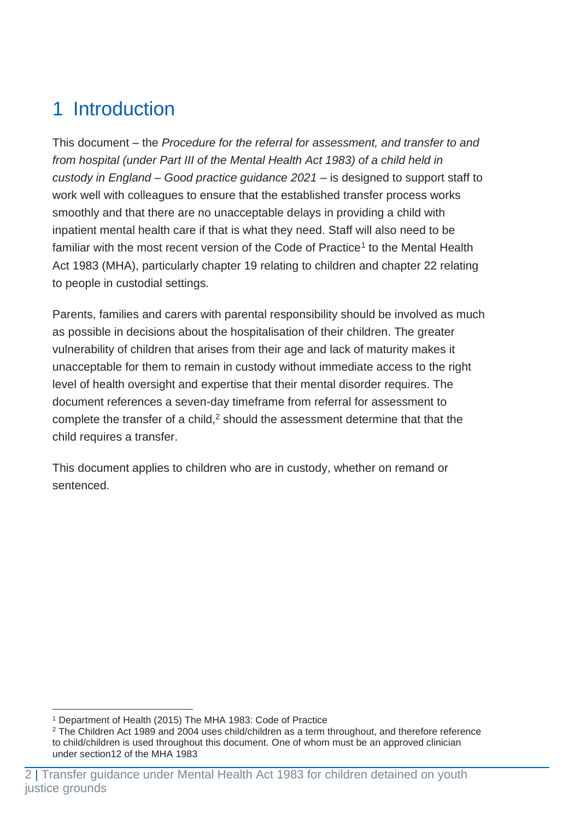# <span id="page-2-0"></span>1 Introduction

This document – the *Procedure for the referral for assessment, and transfer to and from hospital (under Part III of the Mental Health Act 1983) of a child held in custody in England – Good practice guidance 2021* – is designed to support staff to work well with colleagues to ensure that the established transfer process works smoothly and that there are no unacceptable delays in providing a child with inpatient mental health care if that is what they need. Staff will also need to be familiar with the most recent version of the Code of Practice<sup>1</sup> to the Mental Health Act 1983 (MHA), particularly chapter 19 relating to children and chapter 22 relating to people in custodial settings.

Parents, families and carers with parental responsibility should be involved as much as possible in decisions about the hospitalisation of their children. The greater vulnerability of children that arises from their age and lack of maturity makes it unacceptable for them to remain in custody without immediate access to the right level of health oversight and expertise that their mental disorder requires. The document references a seven-day timeframe from referral for assessment to complete the transfer of a child, $2$  should the assessment determine that that the child requires a transfer.

This document applies to children who are in custody, whether on remand or sentenced.

<sup>1</sup> Department of Health (2015) The MHA 1983: Code of Practice

<sup>2</sup> The Children Act 1989 and 2004 uses child/children as a term throughout, and therefore reference to child/children is used throughout this document. One of whom must be an approved clinician under section12 of the MHA 1983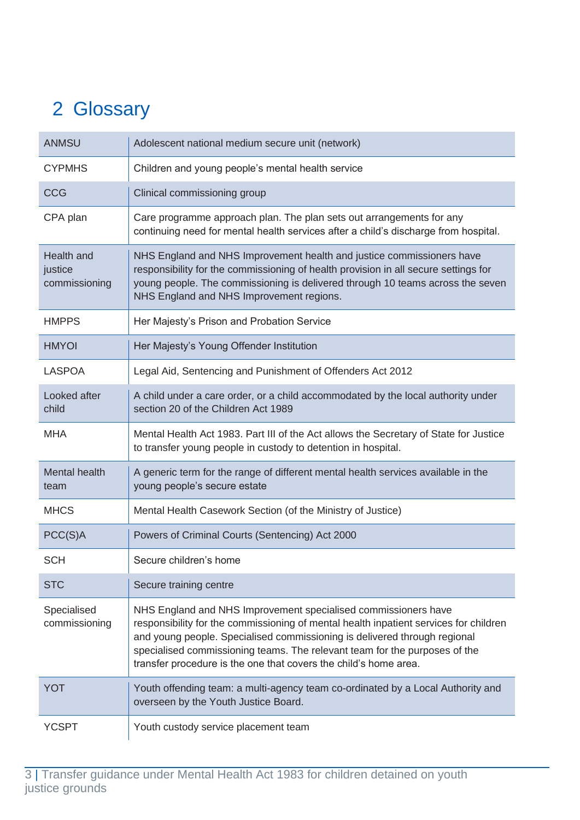# <span id="page-3-0"></span>2 Glossary

| <b>ANMSU</b>                           | Adolescent national medium secure unit (network)                                                                                                                                                                                                                                                                                                                                       |
|----------------------------------------|----------------------------------------------------------------------------------------------------------------------------------------------------------------------------------------------------------------------------------------------------------------------------------------------------------------------------------------------------------------------------------------|
| <b>CYPMHS</b>                          | Children and young people's mental health service                                                                                                                                                                                                                                                                                                                                      |
| <b>CCG</b>                             | Clinical commissioning group                                                                                                                                                                                                                                                                                                                                                           |
| CPA plan                               | Care programme approach plan. The plan sets out arrangements for any<br>continuing need for mental health services after a child's discharge from hospital.                                                                                                                                                                                                                            |
| Health and<br>justice<br>commissioning | NHS England and NHS Improvement health and justice commissioners have<br>responsibility for the commissioning of health provision in all secure settings for<br>young people. The commissioning is delivered through 10 teams across the seven<br>NHS England and NHS Improvement regions.                                                                                             |
| <b>HMPPS</b>                           | Her Majesty's Prison and Probation Service                                                                                                                                                                                                                                                                                                                                             |
| <b>HMYOI</b>                           | Her Majesty's Young Offender Institution                                                                                                                                                                                                                                                                                                                                               |
| LASPOA                                 | Legal Aid, Sentencing and Punishment of Offenders Act 2012                                                                                                                                                                                                                                                                                                                             |
| Looked after<br>child                  | A child under a care order, or a child accommodated by the local authority under<br>section 20 of the Children Act 1989                                                                                                                                                                                                                                                                |
| <b>MHA</b>                             | Mental Health Act 1983. Part III of the Act allows the Secretary of State for Justice<br>to transfer young people in custody to detention in hospital.                                                                                                                                                                                                                                 |
| <b>Mental health</b><br>team           | A generic term for the range of different mental health services available in the<br>young people's secure estate                                                                                                                                                                                                                                                                      |
| <b>MHCS</b>                            | Mental Health Casework Section (of the Ministry of Justice)                                                                                                                                                                                                                                                                                                                            |
| PCC(S)A                                | Powers of Criminal Courts (Sentencing) Act 2000                                                                                                                                                                                                                                                                                                                                        |
| <b>SCH</b>                             | Secure children's home                                                                                                                                                                                                                                                                                                                                                                 |
| <b>STC</b>                             | Secure training centre                                                                                                                                                                                                                                                                                                                                                                 |
| Specialised<br>commissioning           | NHS England and NHS Improvement specialised commissioners have<br>responsibility for the commissioning of mental health inpatient services for children<br>and young people. Specialised commissioning is delivered through regional<br>specialised commissioning teams. The relevant team for the purposes of the<br>transfer procedure is the one that covers the child's home area. |
| <b>YOT</b>                             | Youth offending team: a multi-agency team co-ordinated by a Local Authority and<br>overseen by the Youth Justice Board.                                                                                                                                                                                                                                                                |
| YCSPT                                  | Youth custody service placement team                                                                                                                                                                                                                                                                                                                                                   |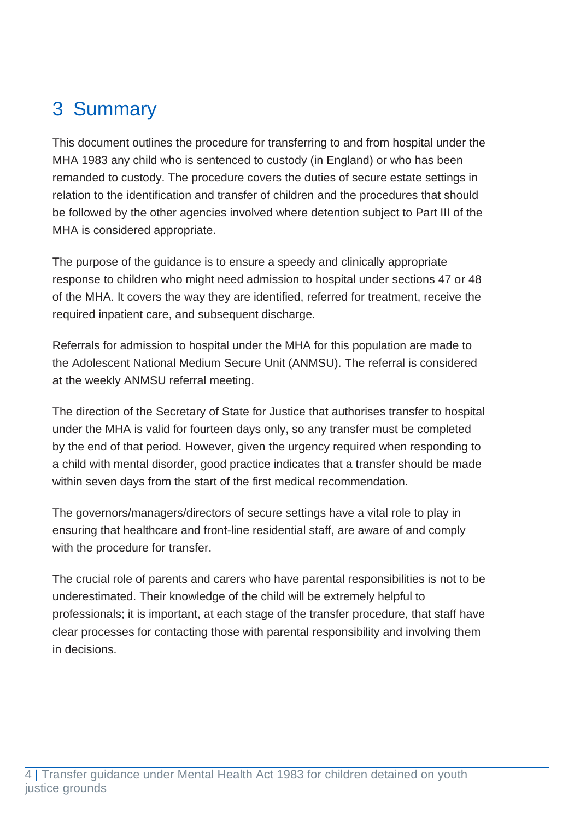# <span id="page-4-0"></span>3 Summary

This document outlines the procedure for transferring to and from hospital under the MHA 1983 any child who is sentenced to custody (in England) or who has been remanded to custody. The procedure covers the duties of secure estate settings in relation to the identification and transfer of children and the procedures that should be followed by the other agencies involved where detention subject to Part III of the MHA is considered appropriate.

The purpose of the guidance is to ensure a speedy and clinically appropriate response to children who might need admission to hospital under sections 47 or 48 of the MHA. It covers the way they are identified, referred for treatment, receive the required inpatient care, and subsequent discharge.

Referrals for admission to hospital under the MHA for this population are made to the Adolescent National Medium Secure Unit (ANMSU). The referral is considered at the weekly ANMSU referral meeting.

The direction of the Secretary of State for Justice that authorises transfer to hospital under the MHA is valid for fourteen days only, so any transfer must be completed by the end of that period. However, given the urgency required when responding to a child with mental disorder, good practice indicates that a transfer should be made within seven days from the start of the first medical recommendation.

The governors/managers/directors of secure settings have a vital role to play in ensuring that healthcare and front-line residential staff, are aware of and comply with the procedure for transfer.

The crucial role of parents and carers who have parental responsibilities is not to be underestimated. Their knowledge of the child will be extremely helpful to professionals; it is important, at each stage of the transfer procedure, that staff have clear processes for contacting those with parental responsibility and involving them in decisions.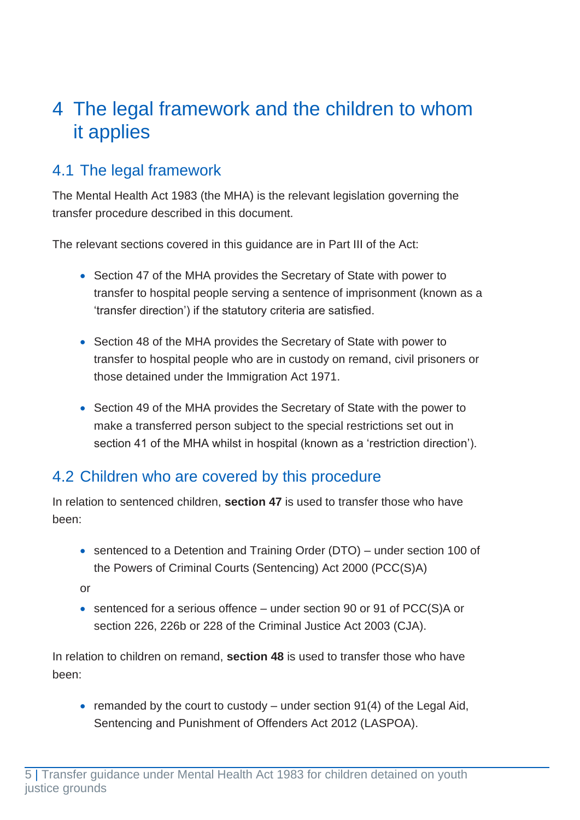## <span id="page-5-0"></span>4 The legal framework and the children to whom it applies

### <span id="page-5-1"></span>4.1 The legal framework

The Mental Health Act 1983 (the MHA) is the relevant legislation governing the transfer procedure described in this document.

The relevant sections covered in this guidance are in Part III of the Act:

- Section 47 of the MHA provides the Secretary of State with power to transfer to hospital people serving a sentence of imprisonment (known as a 'transfer direction') if the statutory criteria are satisfied.
- Section 48 of the MHA provides the Secretary of State with power to transfer to hospital people who are in custody on remand, civil prisoners or those detained under the Immigration Act 1971.
- Section 49 of the MHA provides the Secretary of State with the power to make a transferred person subject to the special restrictions set out in section 41 of the MHA whilst in hospital (known as a 'restriction direction').

### <span id="page-5-2"></span>4.2 Children who are covered by this procedure

In relation to sentenced children, **section 47** is used to transfer those who have been:

• sentenced to a Detention and Training Order (DTO) – under section 100 of the Powers of Criminal Courts (Sentencing) Act 2000 (PCC(S)A)

or

• sentenced for a serious offence – under section 90 or 91 of PCC(S)A or section 226, 226b or 228 of the Criminal Justice Act 2003 (CJA).

In relation to children on remand, **section 48** is used to transfer those who have been:

• remanded by the court to custody – under section  $91(4)$  of the Legal Aid, Sentencing and Punishment of Offenders Act 2012 (LASPOA).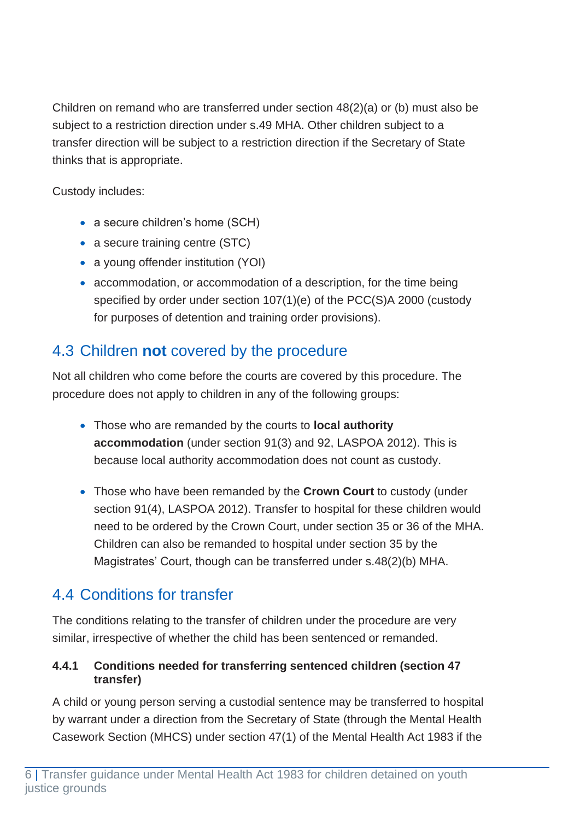Children on remand who are transferred under section 48(2)(a) or (b) must also be subject to a restriction direction under s.49 MHA. Other children subject to a transfer direction will be subject to a restriction direction if the Secretary of State thinks that is appropriate.

Custody includes:

- a secure children's home (SCH)
- a secure training centre (STC)
- a young offender institution (YOI)
- accommodation, or accommodation of a description, for the time being specified by order under section 107(1)(e) of the PCC(S)A 2000 (custody for purposes of detention and training order provisions).

## <span id="page-6-0"></span>4.3 Children **not** covered by the procedure

Not all children who come before the courts are covered by this procedure. The procedure does not apply to children in any of the following groups:

- Those who are remanded by the courts to **local authority accommodation** (under section 91(3) and 92, LASPOA 2012). This is because local authority accommodation does not count as custody.
- Those who have been remanded by the **Crown Court** to custody (under section 91(4), LASPOA 2012). Transfer to hospital for these children would need to be ordered by the Crown Court, under section 35 or 36 of the MHA. Children can also be remanded to hospital under section 35 by the Magistrates' Court, though can be transferred under s.48(2)(b) MHA.

## <span id="page-6-1"></span>4.4 Conditions for transfer

The conditions relating to the transfer of children under the procedure are very similar, irrespective of whether the child has been sentenced or remanded.

#### <span id="page-6-2"></span>**4.4.1 Conditions needed for transferring sentenced children (section 47 transfer)**

A child or young person serving a custodial sentence may be transferred to hospital by warrant under a direction from the Secretary of State (through the Mental Health Casework Section (MHCS) under section 47(1) of the Mental Health Act 1983 if the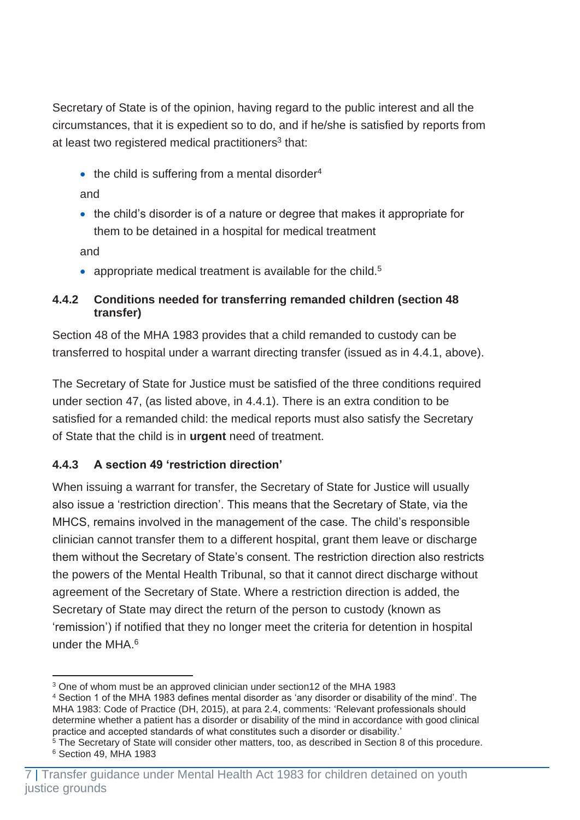Secretary of State is of the opinion, having regard to the public interest and all the circumstances, that it is expedient so to do, and if he/she is satisfied by reports from at least two registered medical practitioners<sup>3</sup> that:

 $\bullet$  the child is suffering from a mental disorder<sup>4</sup>

and

• the child's disorder is of a nature or degree that makes it appropriate for them to be detained in a hospital for medical treatment

and

• appropriate medical treatment is available for the child. $5$ 

#### <span id="page-7-0"></span>**4.4.2 Conditions needed for transferring remanded children (section 48 transfer)**

Section 48 of the MHA 1983 provides that a child remanded to custody can be transferred to hospital under a warrant directing transfer (issued as in 4.4.1, above).

The Secretary of State for Justice must be satisfied of the three conditions required under section 47, (as listed above, in 4.4.1). There is an extra condition to be satisfied for a remanded child: the medical reports must also satisfy the Secretary of State that the child is in **urgent** need of treatment.

#### <span id="page-7-1"></span>**4.4.3 A section 49 'restriction direction'**

When issuing a warrant for transfer, the Secretary of State for Justice will usually also issue a 'restriction direction'. This means that the Secretary of State, via the MHCS, remains involved in the management of the case. The child's responsible clinician cannot transfer them to a different hospital, grant them leave or discharge them without the Secretary of State's consent. The restriction direction also restricts the powers of the Mental Health Tribunal, so that it cannot direct discharge without agreement of the Secretary of State. Where a restriction direction is added, the Secretary of State may direct the return of the person to custody (known as 'remission') if notified that they no longer meet the criteria for detention in hospital under the MHA.<sup>6</sup>

<sup>3</sup> One of whom must be an approved clinician under section12 of the MHA 1983

<sup>4</sup> Section 1 of the MHA 1983 defines mental disorder as 'any disorder or disability of the mind'. The MHA 1983: Code of Practice (DH, 2015), at para 2.4, comments: 'Relevant professionals should determine whether a patient has a disorder or disability of the mind in accordance with good clinical practice and accepted standards of what constitutes such a disorder or disability.'

<sup>&</sup>lt;sup>5</sup> The Secretary of State will consider other matters, too, as described in Section 8 of this procedure. <sup>6</sup> Section 49, MHA 1983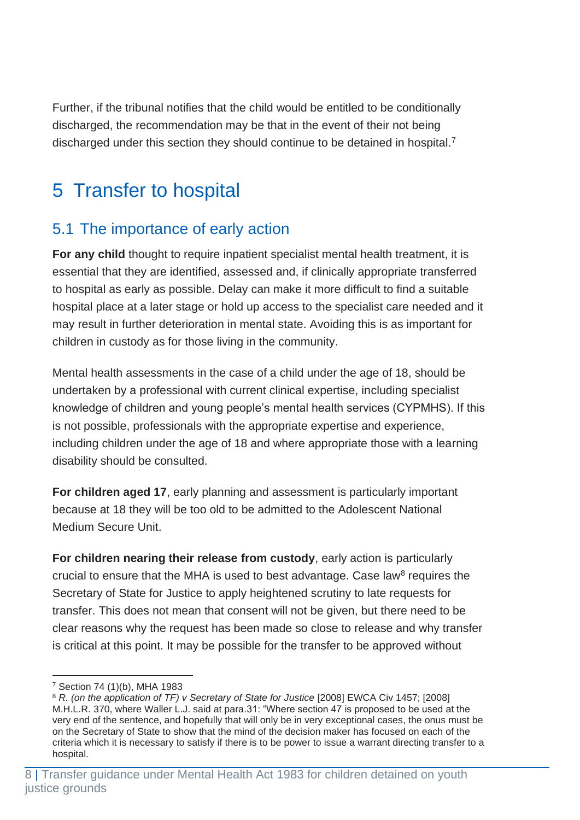Further, if the tribunal notifies that the child would be entitled to be conditionally discharged, the recommendation may be that in the event of their not being discharged under this section they should continue to be detained in hospital.<sup>7</sup>

## <span id="page-8-0"></span>5 Transfer to hospital

## <span id="page-8-1"></span>5.1 The importance of early action

**For any child** thought to require inpatient specialist mental health treatment, it is essential that they are identified, assessed and, if clinically appropriate transferred to hospital as early as possible. Delay can make it more difficult to find a suitable hospital place at a later stage or hold up access to the specialist care needed and it may result in further deterioration in mental state. Avoiding this is as important for children in custody as for those living in the community.

Mental health assessments in the case of a child under the age of 18, should be undertaken by a professional with current clinical expertise, including specialist knowledge of children and young people's mental health services (CYPMHS). If this is not possible, professionals with the appropriate expertise and experience, including children under the age of 18 and where appropriate those with a learning disability should be consulted.

**For children aged 17**, early planning and assessment is particularly important because at 18 they will be too old to be admitted to the Adolescent National Medium Secure Unit.

**For children nearing their release from custody**, early action is particularly crucial to ensure that the MHA is used to best advantage. Case law $<sup>8</sup>$  requires the</sup> Secretary of State for Justice to apply heightened scrutiny to late requests for transfer. This does not mean that consent will not be given, but there need to be clear reasons why the request has been made so close to release and why transfer is critical at this point. It may be possible for the transfer to be approved without

<sup>7</sup> Section 74 (1)(b), MHA 1983

<sup>8</sup> *R. (on the application of TF) v Secretary of State for Justice* [2008] EWCA Civ 1457; [2008] M.H.L.R. 370, where Waller L.J. said at para.31: "Where section 47 is proposed to be used at the very end of the sentence, and hopefully that will only be in very exceptional cases, the onus must be on the Secretary of State to show that the mind of the decision maker has focused on each of the criteria which it is necessary to satisfy if there is to be power to issue a warrant directing transfer to a hospital.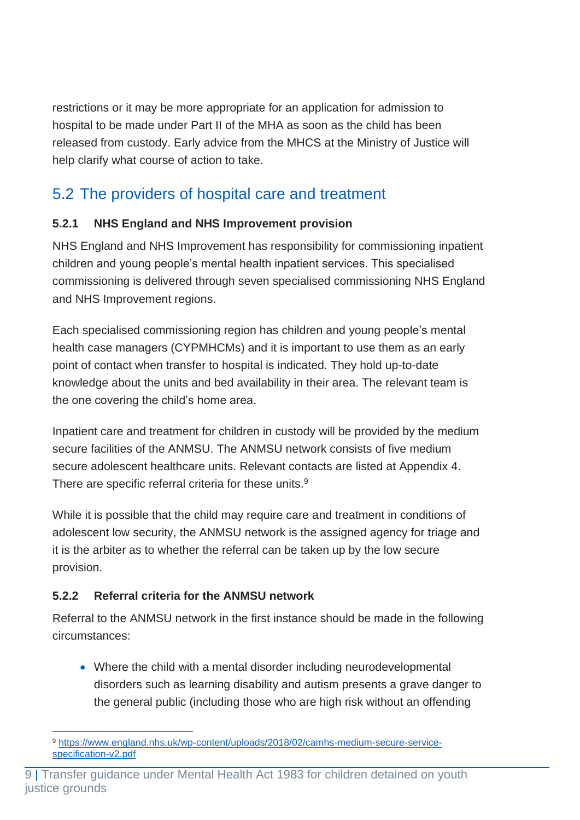restrictions or it may be more appropriate for an application for admission to hospital to be made under Part II of the MHA as soon as the child has been released from custody. Early advice from the MHCS at the Ministry of Justice will help clarify what course of action to take.

## <span id="page-9-0"></span>5.2 The providers of hospital care and treatment

#### <span id="page-9-1"></span>**5.2.1 NHS England and NHS Improvement provision**

NHS England and NHS Improvement has responsibility for commissioning inpatient children and young people's mental health inpatient services. This specialised commissioning is delivered through seven specialised commissioning NHS England and NHS Improvement regions.

Each specialised commissioning region has children and young people's mental health case managers (CYPMHCMs) and it is important to use them as an early point of contact when transfer to hospital is indicated. They hold up-to-date knowledge about the units and bed availability in their area. The relevant team is the one covering the child's home area.

Inpatient care and treatment for children in custody will be provided by the medium secure facilities of the ANMSU. The ANMSU network consists of five medium secure adolescent healthcare units. Relevant contacts are listed at Appendix 4. There are specific referral criteria for these units.<sup>9</sup>

While it is possible that the child may require care and treatment in conditions of adolescent low security, the ANMSU network is the assigned agency for triage and it is the arbiter as to whether the referral can be taken up by the low secure provision.

#### <span id="page-9-2"></span>**5.2.2 Referral criteria for the ANMSU network**

Referral to the ANMSU network in the first instance should be made in the following circumstances:

• Where the child with a mental disorder including neurodevelopmental disorders such as learning disability and autism presents a grave danger to the general public (including those who are high risk without an offending

<sup>9</sup> [https://www.england.nhs.uk/wp-content/uploads/2018/02/camhs-medium-secure-service](https://www.england.nhs.uk/wp-content/uploads/2018/02/camhs-medium-secure-service-specification-v2.pdf)[specification-v2.pdf](https://www.england.nhs.uk/wp-content/uploads/2018/02/camhs-medium-secure-service-specification-v2.pdf)

<sup>9</sup> | Transfer guidance under Mental Health Act 1983 for children detained on youth justice grounds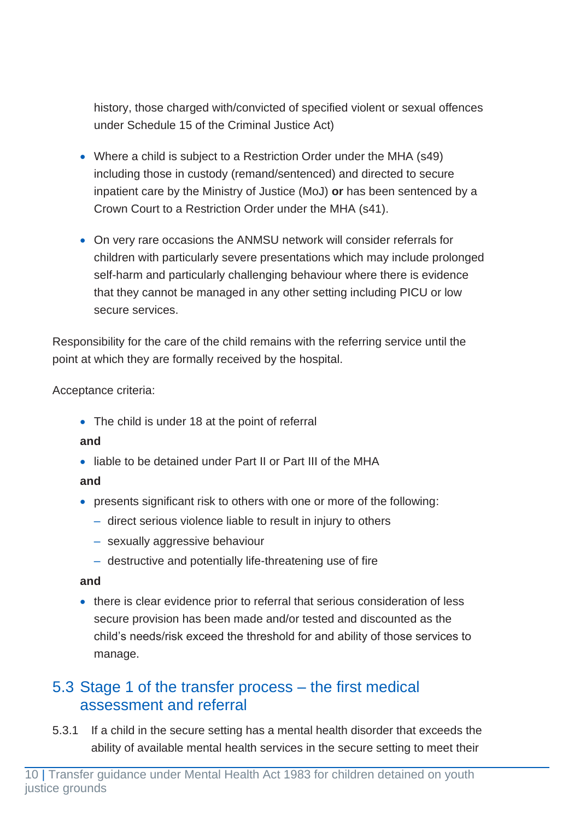history, those charged with/convicted of specified violent or sexual offences under Schedule 15 of the Criminal Justice Act)

- Where a child is subject to a Restriction Order under the MHA (s49) including those in custody (remand/sentenced) and directed to secure inpatient care by the Ministry of Justice (MoJ) **or** has been sentenced by a Crown Court to a Restriction Order under the MHA (s41).
- On very rare occasions the ANMSU network will consider referrals for children with particularly severe presentations which may include prolonged self-harm and particularly challenging behaviour where there is evidence that they cannot be managed in any other setting including PICU or low secure services.

Responsibility for the care of the child remains with the referring service until the point at which they are formally received by the hospital.

Acceptance criteria:

• The child is under 18 at the point of referral

#### **and**

• liable to be detained under Part II or Part III of the MHA

#### **and**

- presents significant risk to others with one or more of the following:
	- ‒ direct serious violence liable to result in injury to others
	- sexually aggressive behaviour
	- destructive and potentially life-threatening use of fire

#### **and**

• there is clear evidence prior to referral that serious consideration of less secure provision has been made and/or tested and discounted as the child's needs/risk exceed the threshold for and ability of those services to manage.

## <span id="page-10-0"></span>5.3 Stage 1 of the transfer process – the first medical assessment and referral

5.3.1 If a child in the secure setting has a mental health disorder that exceeds the ability of available mental health services in the secure setting to meet their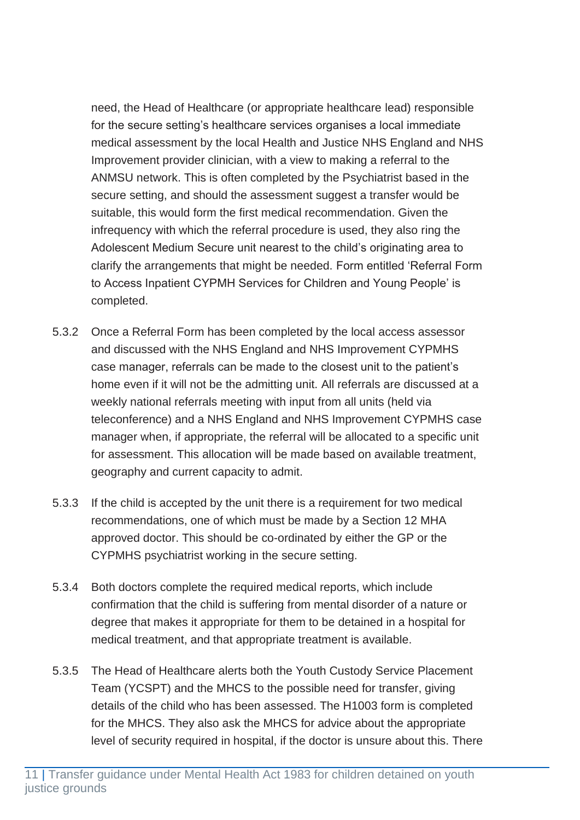need, the Head of Healthcare (or appropriate healthcare lead) responsible for the secure setting's healthcare services organises a local immediate medical assessment by the local Health and Justice NHS England and NHS Improvement provider clinician, with a view to making a referral to the ANMSU network. This is often completed by the Psychiatrist based in the secure setting, and should the assessment suggest a transfer would be suitable, this would form the first medical recommendation. Given the infrequency with which the referral procedure is used, they also ring the Adolescent Medium Secure unit nearest to the child's originating area to clarify the arrangements that might be needed. Form entitled 'Referral Form to Access Inpatient CYPMH Services for Children and Young People' is completed.

- 5.3.2 Once a Referral Form has been completed by the local access assessor and discussed with the NHS England and NHS Improvement CYPMHS case manager, referrals can be made to the closest unit to the patient's home even if it will not be the admitting unit. All referrals are discussed at a weekly national referrals meeting with input from all units (held via teleconference) and a NHS England and NHS Improvement CYPMHS case manager when, if appropriate, the referral will be allocated to a specific unit for assessment. This allocation will be made based on available treatment, geography and current capacity to admit.
- 5.3.3 If the child is accepted by the unit there is a requirement for two medical recommendations, one of which must be made by a Section 12 MHA approved doctor. This should be co-ordinated by either the GP or the CYPMHS psychiatrist working in the secure setting.
- 5.3.4 Both doctors complete the required medical reports, which include confirmation that the child is suffering from mental disorder of a nature or degree that makes it appropriate for them to be detained in a hospital for medical treatment, and that appropriate treatment is available.
- 5.3.5 The Head of Healthcare alerts both the Youth Custody Service Placement Team (YCSPT) and the MHCS to the possible need for transfer, giving details of the child who has been assessed. The H1003 form is completed for the MHCS. They also ask the MHCS for advice about the appropriate level of security required in hospital, if the doctor is unsure about this. There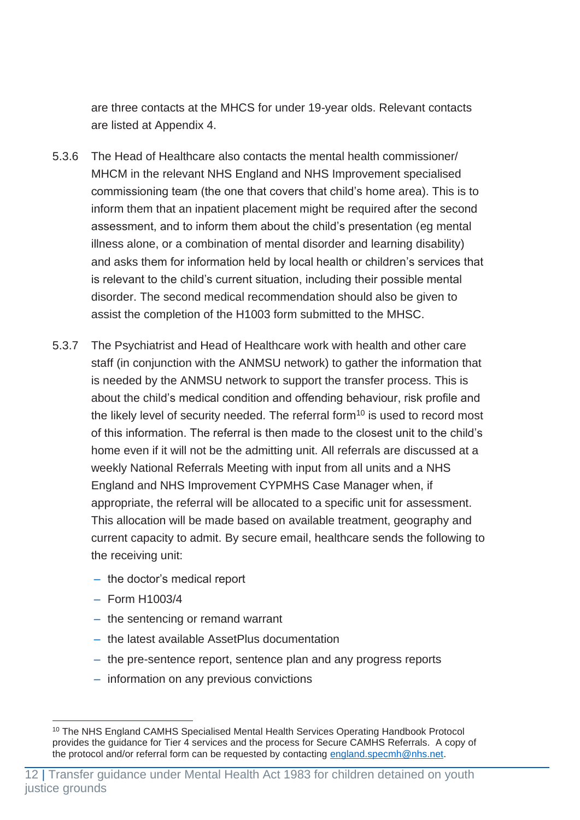are three contacts at the MHCS for under 19-year olds. Relevant contacts are listed at Appendix 4.

- 5.3.6 The Head of Healthcare also contacts the mental health commissioner/ MHCM in the relevant NHS England and NHS Improvement specialised commissioning team (the one that covers that child's home area). This is to inform them that an inpatient placement might be required after the second assessment, and to inform them about the child's presentation (eg mental illness alone, or a combination of mental disorder and learning disability) and asks them for information held by local health or children's services that is relevant to the child's current situation, including their possible mental disorder. The second medical recommendation should also be given to assist the completion of the H1003 form submitted to the MHSC.
- 5.3.7 The Psychiatrist and Head of Healthcare work with health and other care staff (in conjunction with the ANMSU network) to gather the information that is needed by the ANMSU network to support the transfer process. This is about the child's medical condition and offending behaviour, risk profile and the likely level of security needed. The referral form $10$  is used to record most of this information. The referral is then made to the closest unit to the child's home even if it will not be the admitting unit. All referrals are discussed at a weekly National Referrals Meeting with input from all units and a NHS England and NHS Improvement CYPMHS Case Manager when, if appropriate, the referral will be allocated to a specific unit for assessment. This allocation will be made based on available treatment, geography and current capacity to admit. By secure email, healthcare sends the following to the receiving unit:
	- the doctor's medical report
	- ‒ Form H1003/4
	- the sentencing or remand warrant
	- ‒ the latest available AssetPlus documentation
	- the pre-sentence report, sentence plan and any progress reports
	- ‒ information on any previous convictions

<sup>&</sup>lt;sup>10</sup> The NHS England CAMHS Specialised Mental Health Services Operating Handbook Protocol provides the guidance for Tier 4 services and the process for Secure CAMHS Referrals. A copy of the protocol and/or referral form can be requested by contacting [england.specmh@nhs.net.](mailto:england.specmh@nhs.net)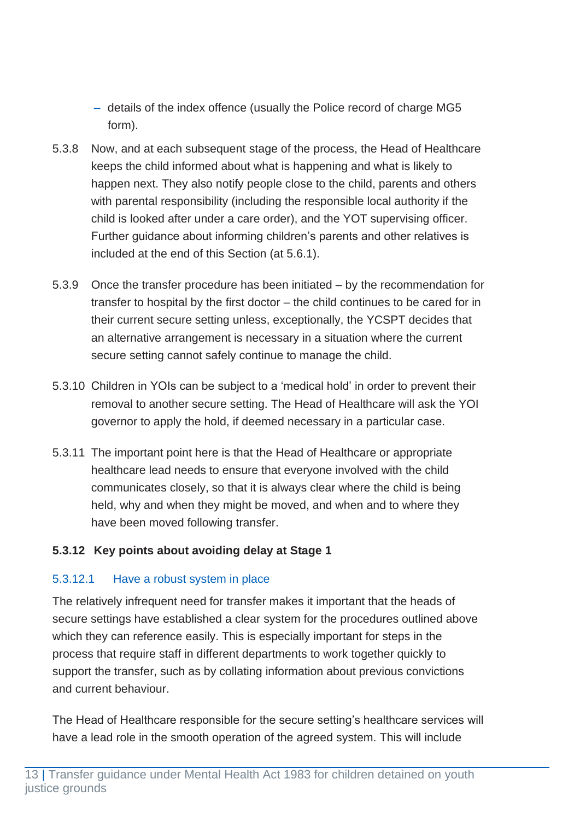- details of the index offence (usually the Police record of charge MG5 form).
- 5.3.8 Now, and at each subsequent stage of the process, the Head of Healthcare keeps the child informed about what is happening and what is likely to happen next. They also notify people close to the child, parents and others with parental responsibility (including the responsible local authority if the child is looked after under a care order), and the YOT supervising officer. Further guidance about informing children's parents and other relatives is included at the end of this Section (at 5.6.1).
- 5.3.9 Once the transfer procedure has been initiated by the recommendation for transfer to hospital by the first doctor – the child continues to be cared for in their current secure setting unless, exceptionally, the YCSPT decides that an alternative arrangement is necessary in a situation where the current secure setting cannot safely continue to manage the child.
- 5.3.10 Children in YOIs can be subject to a 'medical hold' in order to prevent their removal to another secure setting. The Head of Healthcare will ask the YOI governor to apply the hold, if deemed necessary in a particular case.
- 5.3.11 The important point here is that the Head of Healthcare or appropriate healthcare lead needs to ensure that everyone involved with the child communicates closely, so that it is always clear where the child is being held, why and when they might be moved, and when and to where they have been moved following transfer.

#### <span id="page-13-0"></span>**5.3.12 Key points about avoiding delay at Stage 1**

#### 5.3.12.1 Have a robust system in place

The relatively infrequent need for transfer makes it important that the heads of secure settings have established a clear system for the procedures outlined above which they can reference easily. This is especially important for steps in the process that require staff in different departments to work together quickly to support the transfer, such as by collating information about previous convictions and current behaviour.

The Head of Healthcare responsible for the secure setting's healthcare services will have a lead role in the smooth operation of the agreed system. This will include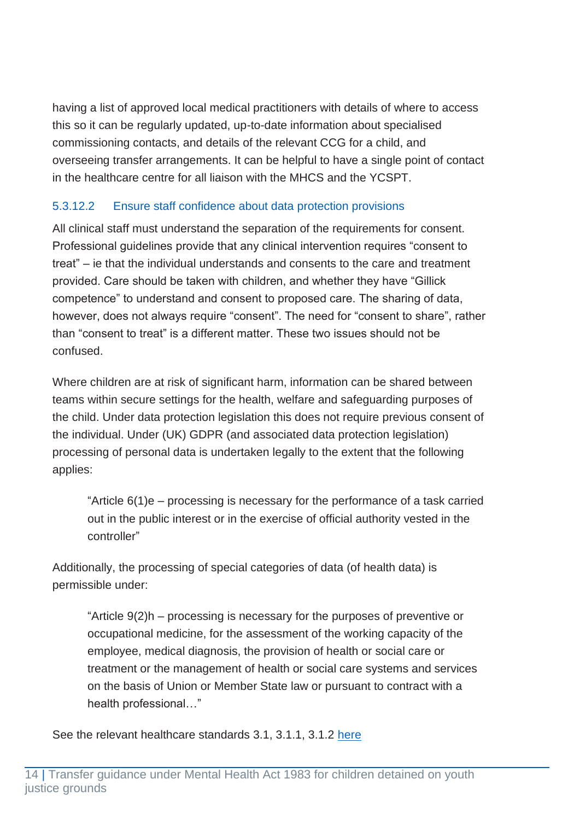having a list of approved local medical practitioners with details of where to access this so it can be regularly updated, up-to-date information about specialised commissioning contacts, and details of the relevant CCG for a child, and overseeing transfer arrangements. It can be helpful to have a single point of contact in the healthcare centre for all liaison with the MHCS and the YCSPT.

#### 5.3.12.2 Ensure staff confidence about data protection provisions

All clinical staff must understand the separation of the requirements for consent. Professional guidelines provide that any clinical intervention requires "consent to treat" – ie that the individual understands and consents to the care and treatment provided. Care should be taken with children, and whether they have "Gillick competence" to understand and consent to proposed care. The sharing of data, however, does not always require "consent". The need for "consent to share", rather than "consent to treat" is a different matter. These two issues should not be confused.

Where children are at risk of significant harm, information can be shared between teams within secure settings for the health, welfare and safeguarding purposes of the child. Under data protection legislation this does not require previous consent of the individual. Under (UK) GDPR (and associated data protection legislation) processing of personal data is undertaken legally to the extent that the following applies:

"Article 6(1)e – processing is necessary for the performance of a task carried out in the public interest or in the exercise of official authority vested in the controller"

Additionally, the processing of special categories of data (of health data) is permissible under:

"Article 9(2)h – processing is necessary for the purposes of preventive or occupational medicine, for the assessment of the working capacity of the employee, medical diagnosis, the provision of health or social care or treatment or the management of health or social care systems and services on the basis of Union or Member State law or pursuant to contract with a health professional…"

See the relevant healthcare standards 3.1, 3.1.1, 3.1.2 [here](https://www.rcpch.ac.uk/sites/default/files/2019-06/rcpch_healthcare_standards_for_children_and_young_people_online1.2.pdf)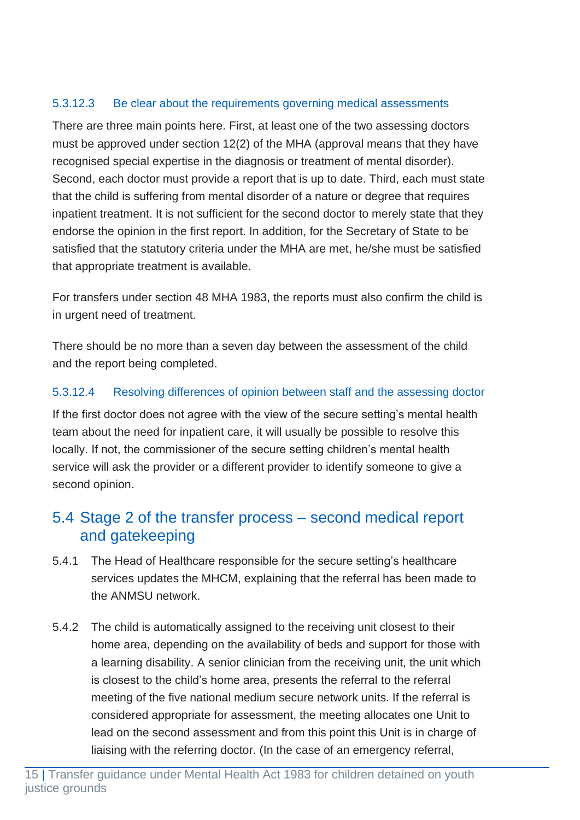#### 5.3.12.3 Be clear about the requirements governing medical assessments

There are three main points here. First, at least one of the two assessing doctors must be approved under section 12(2) of the MHA (approval means that they have recognised special expertise in the diagnosis or treatment of mental disorder). Second, each doctor must provide a report that is up to date. Third, each must state that the child is suffering from mental disorder of a nature or degree that requires inpatient treatment. It is not sufficient for the second doctor to merely state that they endorse the opinion in the first report. In addition, for the Secretary of State to be satisfied that the statutory criteria under the MHA are met, he/she must be satisfied that appropriate treatment is available.

For transfers under section 48 MHA 1983, the reports must also confirm the child is in urgent need of treatment.

There should be no more than a seven day between the assessment of the child and the report being completed.

#### 5.3.12.4 Resolving differences of opinion between staff and the assessing doctor

If the first doctor does not agree with the view of the secure setting's mental health team about the need for inpatient care, it will usually be possible to resolve this locally. If not, the commissioner of the secure setting children's mental health service will ask the provider or a different provider to identify someone to give a second opinion.

### <span id="page-15-0"></span>5.4 Stage 2 of the transfer process – second medical report and gatekeeping

- 5.4.1 The Head of Healthcare responsible for the secure setting's healthcare services updates the MHCM, explaining that the referral has been made to the ANMSU network.
- 5.4.2 The child is automatically assigned to the receiving unit closest to their home area, depending on the availability of beds and support for those with a learning disability. A senior clinician from the receiving unit, the unit which is closest to the child's home area, presents the referral to the referral meeting of the five national medium secure network units. If the referral is considered appropriate for assessment, the meeting allocates one Unit to lead on the second assessment and from this point this Unit is in charge of liaising with the referring doctor. (In the case of an emergency referral,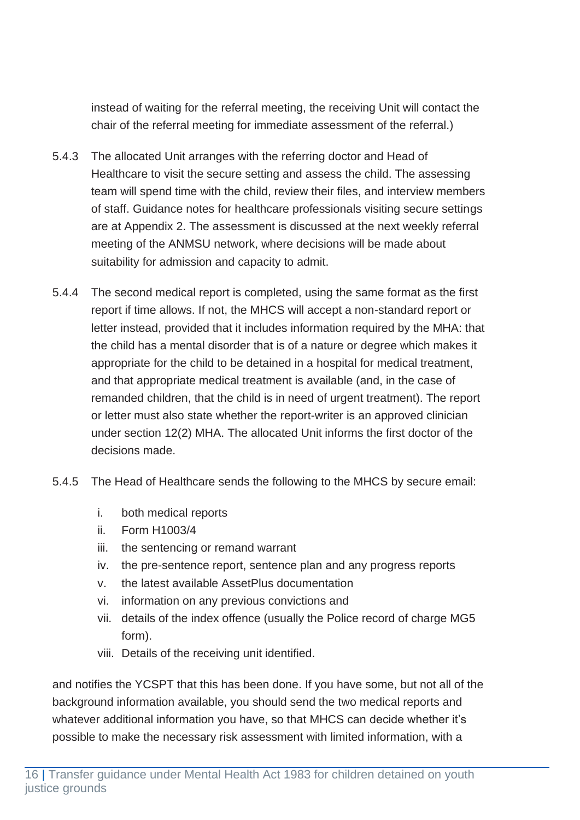instead of waiting for the referral meeting, the receiving Unit will contact the chair of the referral meeting for immediate assessment of the referral.)

- 5.4.3 The allocated Unit arranges with the referring doctor and Head of Healthcare to visit the secure setting and assess the child. The assessing team will spend time with the child, review their files, and interview members of staff. Guidance notes for healthcare professionals visiting secure settings are at Appendix 2. The assessment is discussed at the next weekly referral meeting of the ANMSU network, where decisions will be made about suitability for admission and capacity to admit.
- 5.4.4 The second medical report is completed, using the same format as the first report if time allows. If not, the MHCS will accept a non-standard report or letter instead, provided that it includes information required by the MHA: that the child has a mental disorder that is of a nature or degree which makes it appropriate for the child to be detained in a hospital for medical treatment, and that appropriate medical treatment is available (and, in the case of remanded children, that the child is in need of urgent treatment). The report or letter must also state whether the report-writer is an approved clinician under section 12(2) MHA. The allocated Unit informs the first doctor of the decisions made.
- 5.4.5 The Head of Healthcare sends the following to the MHCS by secure email:
	- i. both medical reports
	- ii. Form H1003/4
	- iii. the sentencing or remand warrant
	- iv. the pre-sentence report, sentence plan and any progress reports
	- v. the latest available AssetPlus documentation
	- vi. information on any previous convictions and
	- vii. details of the index offence (usually the Police record of charge MG5 form).
	- viii. Details of the receiving unit identified.

and notifies the YCSPT that this has been done. If you have some, but not all of the background information available, you should send the two medical reports and whatever additional information you have, so that MHCS can decide whether it's possible to make the necessary risk assessment with limited information, with a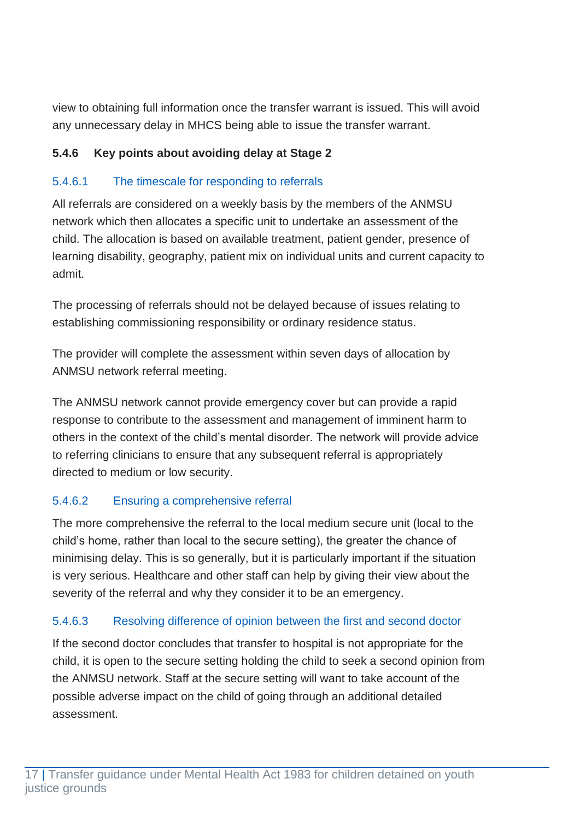view to obtaining full information once the transfer warrant is issued. This will avoid any unnecessary delay in MHCS being able to issue the transfer warrant.

#### <span id="page-17-0"></span>**5.4.6 Key points about avoiding delay at Stage 2**

#### 5.4.6.1 The timescale for responding to referrals

All referrals are considered on a weekly basis by the members of the ANMSU network which then allocates a specific unit to undertake an assessment of the child. The allocation is based on available treatment, patient gender, presence of learning disability, geography, patient mix on individual units and current capacity to admit.

The processing of referrals should not be delayed because of issues relating to establishing commissioning responsibility or ordinary residence status.

The provider will complete the assessment within seven days of allocation by ANMSU network referral meeting.

The ANMSU network cannot provide emergency cover but can provide a rapid response to contribute to the assessment and management of imminent harm to others in the context of the child's mental disorder. The network will provide advice to referring clinicians to ensure that any subsequent referral is appropriately directed to medium or low security.

#### 5.4.6.2 Ensuring a comprehensive referral

The more comprehensive the referral to the local medium secure unit (local to the child's home, rather than local to the secure setting), the greater the chance of minimising delay. This is so generally, but it is particularly important if the situation is very serious. Healthcare and other staff can help by giving their view about the severity of the referral and why they consider it to be an emergency.

#### 5.4.6.3 Resolving difference of opinion between the first and second doctor

If the second doctor concludes that transfer to hospital is not appropriate for the child, it is open to the secure setting holding the child to seek a second opinion from the ANMSU network. Staff at the secure setting will want to take account of the possible adverse impact on the child of going through an additional detailed assessment.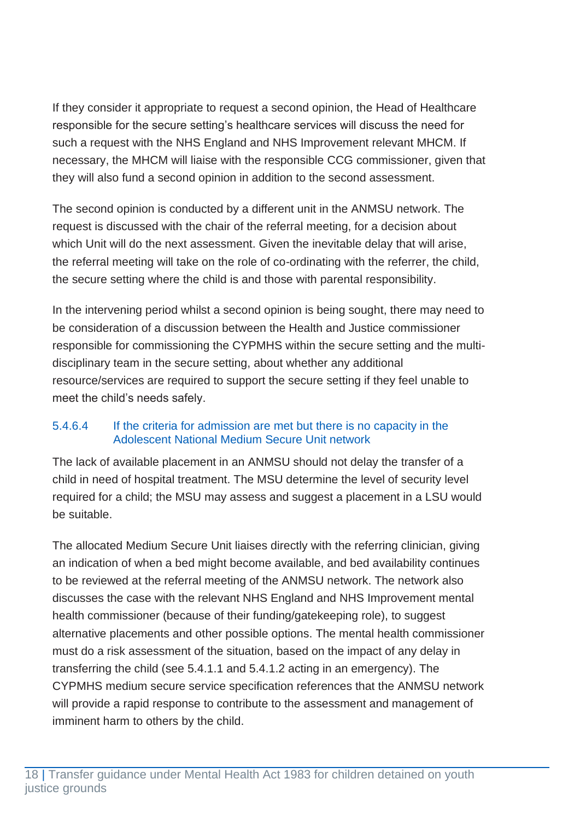If they consider it appropriate to request a second opinion, the Head of Healthcare responsible for the secure setting's healthcare services will discuss the need for such a request with the NHS England and NHS Improvement relevant MHCM. If necessary, the MHCM will liaise with the responsible CCG commissioner, given that they will also fund a second opinion in addition to the second assessment.

The second opinion is conducted by a different unit in the ANMSU network. The request is discussed with the chair of the referral meeting, for a decision about which Unit will do the next assessment. Given the inevitable delay that will arise, the referral meeting will take on the role of co-ordinating with the referrer, the child, the secure setting where the child is and those with parental responsibility.

In the intervening period whilst a second opinion is being sought, there may need to be consideration of a discussion between the Health and Justice commissioner responsible for commissioning the CYPMHS within the secure setting and the multidisciplinary team in the secure setting, about whether any additional resource/services are required to support the secure setting if they feel unable to meet the child's needs safely.

#### 5.4.6.4 If the criteria for admission are met but there is no capacity in the Adolescent National Medium Secure Unit network

The lack of available placement in an ANMSU should not delay the transfer of a child in need of hospital treatment. The MSU determine the level of security level required for a child; the MSU may assess and suggest a placement in a LSU would be suitable.

The allocated Medium Secure Unit liaises directly with the referring clinician, giving an indication of when a bed might become available, and bed availability continues to be reviewed at the referral meeting of the ANMSU network. The network also discusses the case with the relevant NHS England and NHS Improvement mental health commissioner (because of their funding/gatekeeping role), to suggest alternative placements and other possible options. The mental health commissioner must do a risk assessment of the situation, based on the impact of any delay in transferring the child (see 5.4.1.1 and 5.4.1.2 acting in an emergency). The CYPMHS medium secure service specification references that the ANMSU network will provide a rapid response to contribute to the assessment and management of imminent harm to others by the child.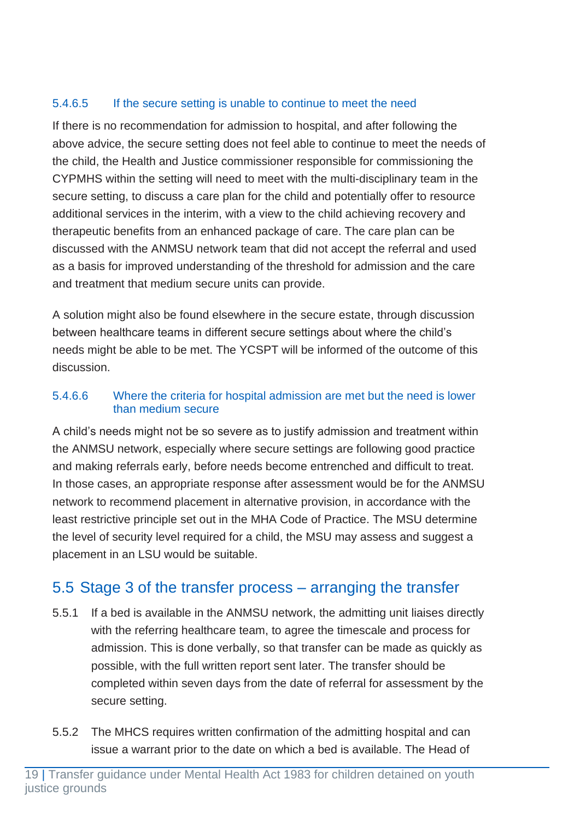#### 5.4.6.5 If the secure setting is unable to continue to meet the need

If there is no recommendation for admission to hospital, and after following the above advice, the secure setting does not feel able to continue to meet the needs of the child, the Health and Justice commissioner responsible for commissioning the CYPMHS within the setting will need to meet with the multi-disciplinary team in the secure setting, to discuss a care plan for the child and potentially offer to resource additional services in the interim, with a view to the child achieving recovery and therapeutic benefits from an enhanced package of care. The care plan can be discussed with the ANMSU network team that did not accept the referral and used as a basis for improved understanding of the threshold for admission and the care and treatment that medium secure units can provide.

A solution might also be found elsewhere in the secure estate, through discussion between healthcare teams in different secure settings about where the child's needs might be able to be met. The YCSPT will be informed of the outcome of this discussion.

#### 5.4.6.6 Where the criteria for hospital admission are met but the need is lower than medium secure

A child's needs might not be so severe as to justify admission and treatment within the ANMSU network, especially where secure settings are following good practice and making referrals early, before needs become entrenched and difficult to treat. In those cases, an appropriate response after assessment would be for the ANMSU network to recommend placement in alternative provision, in accordance with the least restrictive principle set out in the MHA Code of Practice. The MSU determine the level of security level required for a child, the MSU may assess and suggest a placement in an LSU would be suitable.

## <span id="page-19-0"></span>5.5 Stage 3 of the transfer process – arranging the transfer

- 5.5.1 If a bed is available in the ANMSU network, the admitting unit liaises directly with the referring healthcare team, to agree the timescale and process for admission. This is done verbally, so that transfer can be made as quickly as possible, with the full written report sent later. The transfer should be completed within seven days from the date of referral for assessment by the secure setting.
- 5.5.2 The MHCS requires written confirmation of the admitting hospital and can issue a warrant prior to the date on which a bed is available. The Head of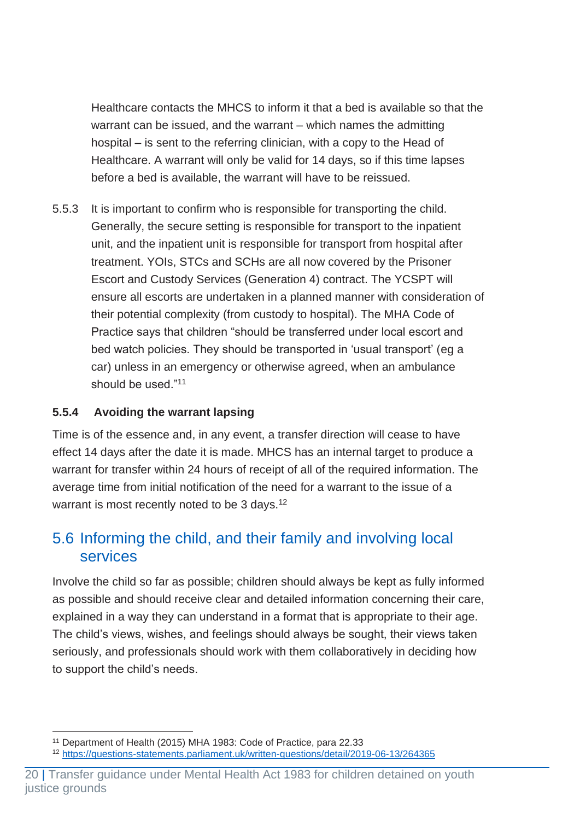Healthcare contacts the MHCS to inform it that a bed is available so that the warrant can be issued, and the warrant – which names the admitting hospital – is sent to the referring clinician, with a copy to the Head of Healthcare. A warrant will only be valid for 14 days, so if this time lapses before a bed is available, the warrant will have to be reissued.

5.5.3 It is important to confirm who is responsible for transporting the child. Generally, the secure setting is responsible for transport to the inpatient unit, and the inpatient unit is responsible for transport from hospital after treatment. YOIs, STCs and SCHs are all now covered by the Prisoner Escort and Custody Services (Generation 4) contract. The YCSPT will ensure all escorts are undertaken in a planned manner with consideration of their potential complexity (from custody to hospital). The MHA Code of Practice says that children "should be transferred under local escort and bed watch policies. They should be transported in 'usual transport' (eg a car) unless in an emergency or otherwise agreed, when an ambulance should be used."<sup>11</sup>

#### <span id="page-20-0"></span>**5.5.4 Avoiding the warrant lapsing**

Time is of the essence and, in any event, a transfer direction will cease to have effect 14 days after the date it is made. MHCS has an internal target to produce a warrant for transfer within 24 hours of receipt of all of the required information. The average time from initial notification of the need for a warrant to the issue of a warrant is most recently noted to be 3 days.<sup>12</sup>

### <span id="page-20-1"></span>5.6 Informing the child, and their family and involving local services

Involve the child so far as possible; children should always be kept as fully informed as possible and should receive clear and detailed information concerning their care, explained in a way they can understand in a format that is appropriate to their age. The child's views, wishes, and feelings should always be sought, their views taken seriously, and professionals should work with them collaboratively in deciding how to support the child's needs.

<sup>11</sup> Department of Health (2015) MHA 1983: Code of Practice, para 22.33

<sup>12</sup> <https://questions-statements.parliament.uk/written-questions/detail/2019-06-13/264365>

<sup>20</sup> | Transfer guidance under Mental Health Act 1983 for children detained on youth justice grounds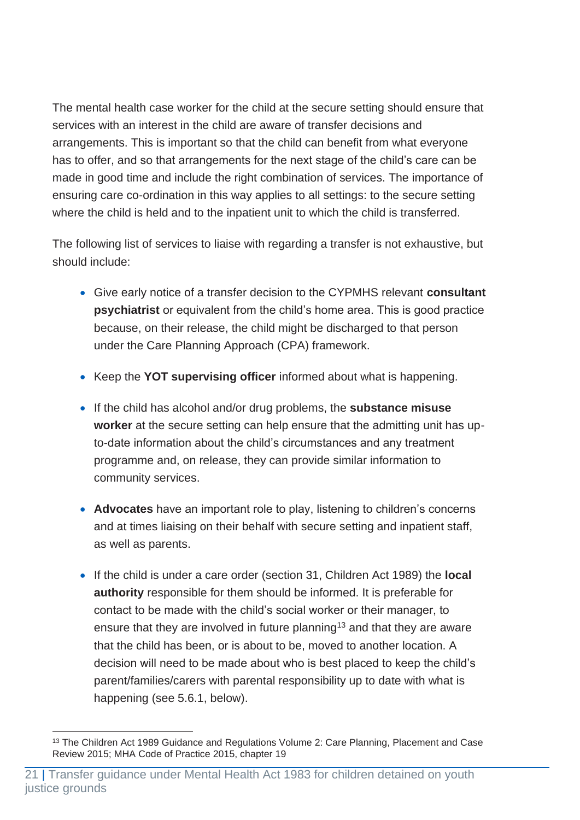The mental health case worker for the child at the secure setting should ensure that services with an interest in the child are aware of transfer decisions and arrangements. This is important so that the child can benefit from what everyone has to offer, and so that arrangements for the next stage of the child's care can be made in good time and include the right combination of services. The importance of ensuring care co-ordination in this way applies to all settings: to the secure setting where the child is held and to the inpatient unit to which the child is transferred.

The following list of services to liaise with regarding a transfer is not exhaustive, but should include:

- Give early notice of a transfer decision to the CYPMHS relevant **consultant psychiatrist** or equivalent from the child's home area. This is good practice because, on their release, the child might be discharged to that person under the Care Planning Approach (CPA) framework.
- Keep the **YOT supervising officer** informed about what is happening.
- If the child has alcohol and/or drug problems, the **substance misuse worker** at the secure setting can help ensure that the admitting unit has upto-date information about the child's circumstances and any treatment programme and, on release, they can provide similar information to community services.
- **Advocates** have an important role to play, listening to children's concerns and at times liaising on their behalf with secure setting and inpatient staff, as well as parents.
- If the child is under a care order (section 31, Children Act 1989) the **local authority** responsible for them should be informed. It is preferable for contact to be made with the child's social worker or their manager, to ensure that they are involved in future planning<sup>13</sup> and that they are aware that the child has been, or is about to be, moved to another location. A decision will need to be made about who is best placed to keep the child's parent/families/carers with parental responsibility up to date with what is happening (see 5.6.1, below).

<sup>&</sup>lt;sup>13</sup> The Children Act 1989 Guidance and Regulations Volume 2: Care Planning, Placement and Case Review 2015; MHA Code of Practice 2015, chapter 19

<sup>21</sup> | Transfer guidance under Mental Health Act 1983 for children detained on youth justice grounds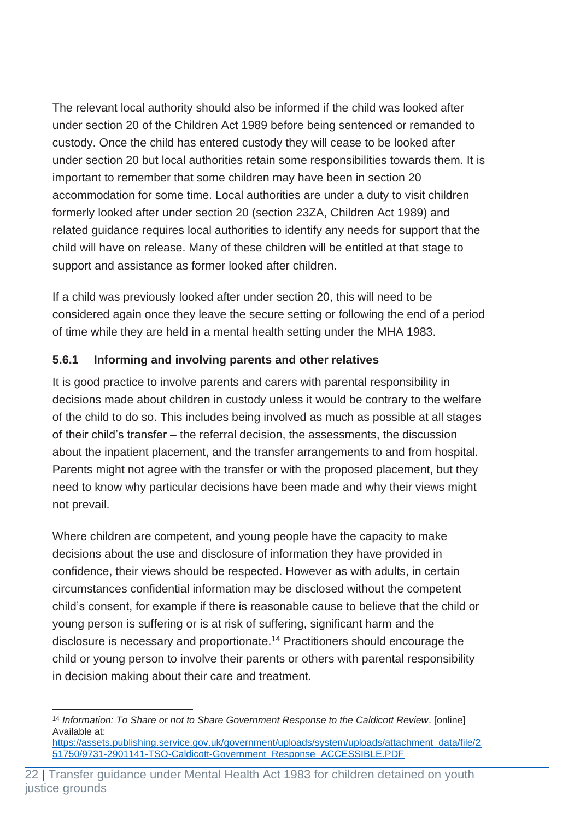The relevant local authority should also be informed if the child was looked after under section 20 of the Children Act 1989 before being sentenced or remanded to custody. Once the child has entered custody they will cease to be looked after under section 20 but local authorities retain some responsibilities towards them. It is important to remember that some children may have been in section 20 accommodation for some time. Local authorities are under a duty to visit children formerly looked after under section 20 (section 23ZA, Children Act 1989) and related guidance requires local authorities to identify any needs for support that the child will have on release. Many of these children will be entitled at that stage to support and assistance as former looked after children.

If a child was previously looked after under section 20, this will need to be considered again once they leave the secure setting or following the end of a period of time while they are held in a mental health setting under the MHA 1983.

#### <span id="page-22-0"></span>**5.6.1 Informing and involving parents and other relatives**

It is good practice to involve parents and carers with parental responsibility in decisions made about children in custody unless it would be contrary to the welfare of the child to do so. This includes being involved as much as possible at all stages of their child's transfer – the referral decision, the assessments, the discussion about the inpatient placement, and the transfer arrangements to and from hospital. Parents might not agree with the transfer or with the proposed placement, but they need to know why particular decisions have been made and why their views might not prevail.

Where children are competent, and young people have the capacity to make decisions about the use and disclosure of information they have provided in confidence, their views should be respected. However as with adults, in certain circumstances confidential information may be disclosed without the competent child's consent, for example if there is reasonable cause to believe that the child or young person is suffering or is at risk of suffering, significant harm and the disclosure is necessary and proportionate.<sup>14</sup> Practitioners should encourage the child or young person to involve their parents or others with parental responsibility in decision making about their care and treatment.

<sup>14</sup> *Information: To Share or not to Share Government Response to the Caldicott Review*. [online] Available at:

[https://assets.publishing.service.gov.uk/government/uploads/system/uploads/attachment\\_data/file/2](https://assets.publishing.service.gov.uk/government/uploads/system/uploads/attachment_data/file/251750/9731-2901141-TSO-Caldicott-Government_Response_ACCESSIBLE.PDF) [51750/9731-2901141-TSO-Caldicott-Government\\_Response\\_ACCESSIBLE.PDF](https://assets.publishing.service.gov.uk/government/uploads/system/uploads/attachment_data/file/251750/9731-2901141-TSO-Caldicott-Government_Response_ACCESSIBLE.PDF)

<sup>22</sup> | Transfer guidance under Mental Health Act 1983 for children detained on youth justice grounds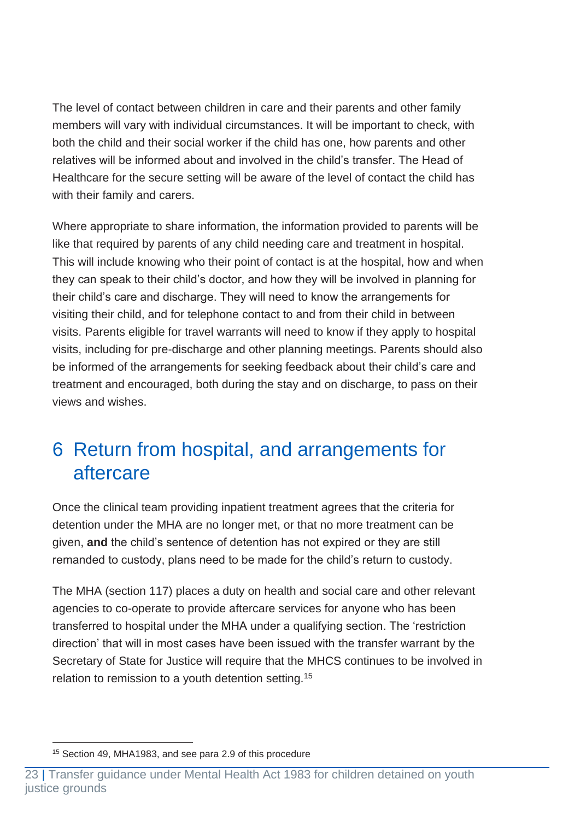The level of contact between children in care and their parents and other family members will vary with individual circumstances. It will be important to check, with both the child and their social worker if the child has one, how parents and other relatives will be informed about and involved in the child's transfer. The Head of Healthcare for the secure setting will be aware of the level of contact the child has with their family and carers.

Where appropriate to share information, the information provided to parents will be like that required by parents of any child needing care and treatment in hospital. This will include knowing who their point of contact is at the hospital, how and when they can speak to their child's doctor, and how they will be involved in planning for their child's care and discharge. They will need to know the arrangements for visiting their child, and for telephone contact to and from their child in between visits. Parents eligible for travel warrants will need to know if they apply to hospital visits, including for pre-discharge and other planning meetings. Parents should also be informed of the arrangements for seeking feedback about their child's care and treatment and encouraged, both during the stay and on discharge, to pass on their views and wishes.

## <span id="page-23-0"></span>6 Return from hospital, and arrangements for aftercare

Once the clinical team providing inpatient treatment agrees that the criteria for detention under the MHA are no longer met, or that no more treatment can be given, **and** the child's sentence of detention has not expired or they are still remanded to custody, plans need to be made for the child's return to custody.

The MHA (section 117) places a duty on health and social care and other relevant agencies to co-operate to provide aftercare services for anyone who has been transferred to hospital under the MHA under a qualifying section. The 'restriction direction' that will in most cases have been issued with the transfer warrant by the Secretary of State for Justice will require that the MHCS continues to be involved in relation to remission to a youth detention setting.<sup>15</sup>

<sup>15</sup> Section 49, MHA1983, and see para 2.9 of this procedure

<sup>23</sup> | Transfer guidance under Mental Health Act 1983 for children detained on youth justice grounds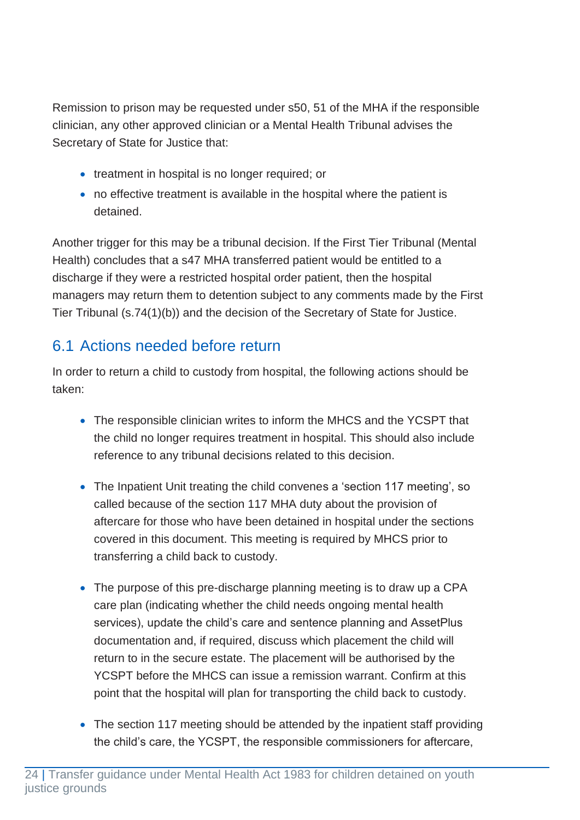Remission to prison may be requested under s50, 51 of the MHA if the responsible clinician, any other approved clinician or a Mental Health Tribunal advises the Secretary of State for Justice that:

- treatment in hospital is no longer required; or
- no effective treatment is available in the hospital where the patient is detained.

Another trigger for this may be a tribunal decision. If the First Tier Tribunal (Mental Health) concludes that a s47 MHA transferred patient would be entitled to a discharge if they were a restricted hospital order patient, then the hospital managers may return them to detention subject to any comments made by the First Tier Tribunal (s.74(1)(b)) and the decision of the Secretary of State for Justice.

## <span id="page-24-0"></span>6.1 Actions needed before return

In order to return a child to custody from hospital, the following actions should be taken:

- The responsible clinician writes to inform the MHCS and the YCSPT that the child no longer requires treatment in hospital. This should also include reference to any tribunal decisions related to this decision.
- The Inpatient Unit treating the child convenes a 'section 117 meeting', so called because of the section 117 MHA duty about the provision of aftercare for those who have been detained in hospital under the sections covered in this document. This meeting is required by MHCS prior to transferring a child back to custody.
- The purpose of this pre-discharge planning meeting is to draw up a CPA care plan (indicating whether the child needs ongoing mental health services), update the child's care and sentence planning and AssetPlus documentation and, if required, discuss which placement the child will return to in the secure estate. The placement will be authorised by the YCSPT before the MHCS can issue a remission warrant. Confirm at this point that the hospital will plan for transporting the child back to custody.
- The section 117 meeting should be attended by the inpatient staff providing the child's care, the YCSPT, the responsible commissioners for aftercare,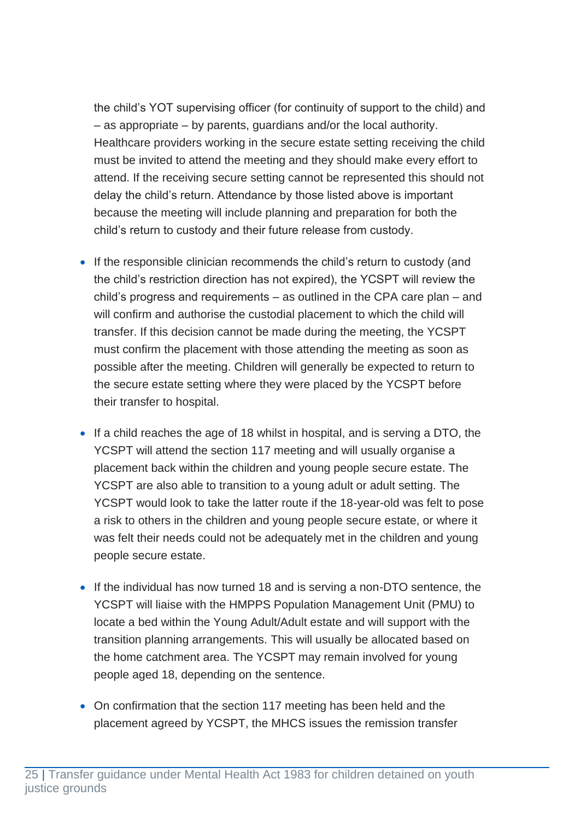the child's YOT supervising officer (for continuity of support to the child) and – as appropriate – by parents, guardians and/or the local authority. Healthcare providers working in the secure estate setting receiving the child must be invited to attend the meeting and they should make every effort to attend. If the receiving secure setting cannot be represented this should not delay the child's return. Attendance by those listed above is important because the meeting will include planning and preparation for both the child's return to custody and their future release from custody.

- If the responsible clinician recommends the child's return to custody (and the child's restriction direction has not expired), the YCSPT will review the child's progress and requirements – as outlined in the CPA care plan – and will confirm and authorise the custodial placement to which the child will transfer. If this decision cannot be made during the meeting, the YCSPT must confirm the placement with those attending the meeting as soon as possible after the meeting. Children will generally be expected to return to the secure estate setting where they were placed by the YCSPT before their transfer to hospital.
- If a child reaches the age of 18 whilst in hospital, and is serving a DTO, the YCSPT will attend the section 117 meeting and will usually organise a placement back within the children and young people secure estate. The YCSPT are also able to transition to a young adult or adult setting. The YCSPT would look to take the latter route if the 18-year-old was felt to pose a risk to others in the children and young people secure estate, or where it was felt their needs could not be adequately met in the children and young people secure estate.
- If the individual has now turned 18 and is serving a non-DTO sentence, the YCSPT will liaise with the HMPPS Population Management Unit (PMU) to locate a bed within the Young Adult/Adult estate and will support with the transition planning arrangements. This will usually be allocated based on the home catchment area. The YCSPT may remain involved for young people aged 18, depending on the sentence.
- On confirmation that the section 117 meeting has been held and the placement agreed by YCSPT, the MHCS issues the remission transfer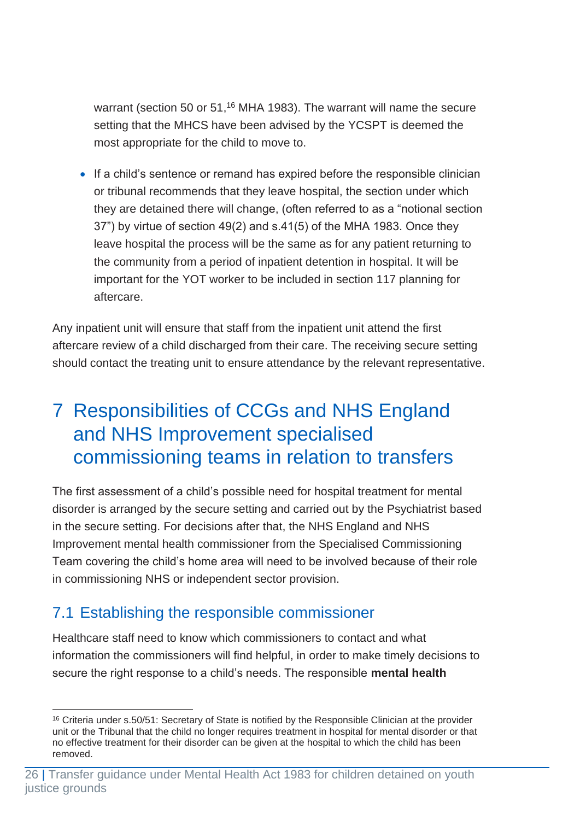warrant (section 50 or 51,<sup>16</sup> MHA 1983). The warrant will name the secure setting that the MHCS have been advised by the YCSPT is deemed the most appropriate for the child to move to.

• If a child's sentence or remand has expired before the responsible clinician or tribunal recommends that they leave hospital, the section under which they are detained there will change, (often referred to as a "notional section 37") by virtue of section 49(2) and s.41(5) of the MHA 1983. Once they leave hospital the process will be the same as for any patient returning to the community from a period of inpatient detention in hospital. It will be important for the YOT worker to be included in section 117 planning for aftercare.

Any inpatient unit will ensure that staff from the inpatient unit attend the first aftercare review of a child discharged from their care. The receiving secure setting should contact the treating unit to ensure attendance by the relevant representative.

## <span id="page-26-0"></span>7 Responsibilities of CCGs and NHS England and NHS Improvement specialised commissioning teams in relation to transfers

The first assessment of a child's possible need for hospital treatment for mental disorder is arranged by the secure setting and carried out by the Psychiatrist based in the secure setting. For decisions after that, the NHS England and NHS Improvement mental health commissioner from the Specialised Commissioning Team covering the child's home area will need to be involved because of their role in commissioning NHS or independent sector provision.

## <span id="page-26-1"></span>7.1 Establishing the responsible commissioner

Healthcare staff need to know which commissioners to contact and what information the commissioners will find helpful, in order to make timely decisions to secure the right response to a child's needs. The responsible **mental health** 

<sup>16</sup> Criteria under s.50/51: Secretary of State is notified by the Responsible Clinician at the provider unit or the Tribunal that the child no longer requires treatment in hospital for mental disorder or that no effective treatment for their disorder can be given at the hospital to which the child has been removed.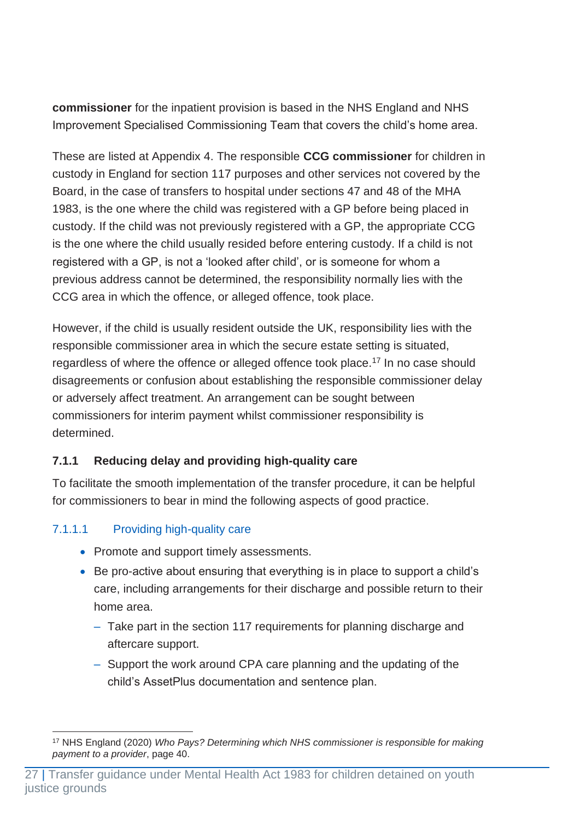**commissioner** for the inpatient provision is based in the NHS England and NHS Improvement Specialised Commissioning Team that covers the child's home area.

These are listed at Appendix 4. The responsible **CCG commissioner** for children in custody in England for section 117 purposes and other services not covered by the Board, in the case of transfers to hospital under sections 47 and 48 of the MHA 1983, is the one where the child was registered with a GP before being placed in custody. If the child was not previously registered with a GP, the appropriate CCG is the one where the child usually resided before entering custody. If a child is not registered with a GP, is not a 'looked after child', or is someone for whom a previous address cannot be determined, the responsibility normally lies with the CCG area in which the offence, or alleged offence, took place.

However, if the child is usually resident outside the UK, responsibility lies with the responsible commissioner area in which the secure estate setting is situated, regardless of where the offence or alleged offence took place.<sup>17</sup> In no case should disagreements or confusion about establishing the responsible commissioner delay or adversely affect treatment. An arrangement can be sought between commissioners for interim payment whilst commissioner responsibility is determined.

#### <span id="page-27-0"></span>**7.1.1 Reducing delay and providing high-quality care**

To facilitate the smooth implementation of the transfer procedure, it can be helpful for commissioners to bear in mind the following aspects of good practice.

#### 7.1.1.1 Providing high-quality care

- Promote and support timely assessments.
- Be pro-active about ensuring that everything is in place to support a child's care, including arrangements for their discharge and possible return to their home area.
	- ‒ Take part in the section 117 requirements for planning discharge and aftercare support.
	- ‒ Support the work around CPA care planning and the updating of the child's AssetPlus documentation and sentence plan.

<sup>17</sup> NHS England (2020) *Who Pays? Determining which NHS commissioner is responsible for making payment to a provider*, page 40.

<sup>27</sup> | Transfer guidance under Mental Health Act 1983 for children detained on youth justice grounds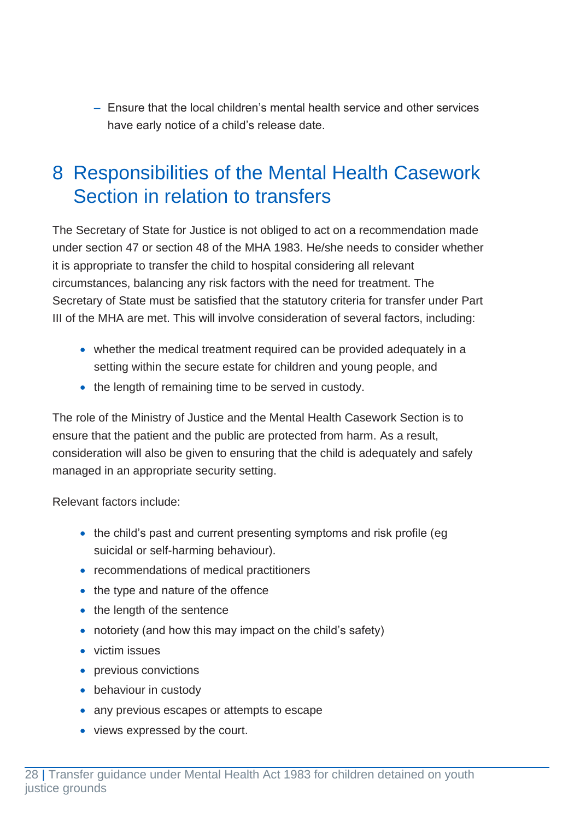‒ Ensure that the local children's mental health service and other services have early notice of a child's release date.

## <span id="page-28-0"></span>8 Responsibilities of the Mental Health Casework Section in relation to transfers

The Secretary of State for Justice is not obliged to act on a recommendation made under section 47 or section 48 of the MHA 1983. He/she needs to consider whether it is appropriate to transfer the child to hospital considering all relevant circumstances, balancing any risk factors with the need for treatment. The Secretary of State must be satisfied that the statutory criteria for transfer under Part III of the MHA are met. This will involve consideration of several factors, including:

- whether the medical treatment required can be provided adequately in a setting within the secure estate for children and young people, and
- the length of remaining time to be served in custody.

The role of the Ministry of Justice and the Mental Health Casework Section is to ensure that the patient and the public are protected from harm. As a result, consideration will also be given to ensuring that the child is adequately and safely managed in an appropriate security setting.

Relevant factors include:

- the child's past and current presenting symptoms and risk profile (eq suicidal or self-harming behaviour).
- recommendations of medical practitioners
- the type and nature of the offence
- the length of the sentence
- notoriety (and how this may impact on the child's safety)
- victim issues
- previous convictions
- behaviour in custody
- any previous escapes or attempts to escape
- views expressed by the court.